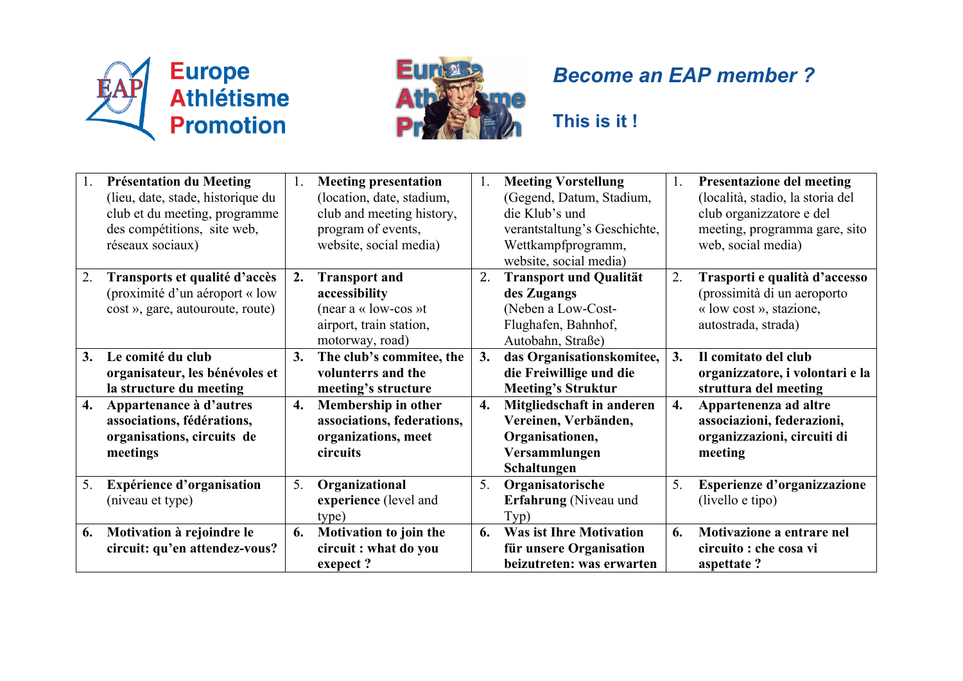



## *Become an EAP member ?*

**This is it !**

| 1. | <b>Présentation du Meeting</b><br>(lieu, date, stade, historique du<br>club et du meeting, programme<br>des compétitions, site web,<br>réseaux sociaux) | 1.               | <b>Meeting presentation</b><br>(location, date, stadium,<br>club and meeting history,<br>program of events,<br>website, social media) | 1. | <b>Meeting Vorstellung</b><br>(Gegend, Datum, Stadium,<br>die Klub's und<br>verantstaltung's Geschichte,<br>Wettkampfprogramm,<br>website, social media) | 1. | <b>Presentazione del meeting</b><br>(località, stadio, la storia del<br>club organizzatore e del<br>meeting, programma gare, sito<br>web, social media) |
|----|---------------------------------------------------------------------------------------------------------------------------------------------------------|------------------|---------------------------------------------------------------------------------------------------------------------------------------|----|----------------------------------------------------------------------------------------------------------------------------------------------------------|----|---------------------------------------------------------------------------------------------------------------------------------------------------------|
| 2. | Transports et qualité d'accès<br>(proximité d'un aéroport « low<br>cost », gare, autouroute, route)                                                     | 2.               | <b>Transport and</b><br>accessibility<br>(near a « low-cos »t<br>airport, train station,<br>motorway, road)                           | 2. | <b>Transport und Qualität</b><br>des Zugangs<br>(Neben a Low-Cost-<br>Flughafen, Bahnhof,<br>Autobahn, Straße)                                           | 2. | Trasporti e qualità d'accesso<br>(prossimità di un aeroporto<br>« low cost », stazione,<br>autostrada, strada)                                          |
| 3. | Le comité du club<br>organisateur, les bénévoles et<br>la structure du meeting                                                                          | 3.               | The club's commitee, the<br>volunterrs and the<br>meeting's structure                                                                 | 3. | das Organisationskomitee,<br>die Freiwillige und die<br><b>Meeting's Struktur</b>                                                                        | 3. | Il comitato del club<br>organizzatore, i volontari e la<br>struttura del meeting                                                                        |
| 4. | Appartenance à d'autres<br>associations, fédérations,<br>organisations, circuits de<br>meetings                                                         | $\overline{4}$ . | Membership in other<br>associations, federations,<br>organizations, meet<br>circuits                                                  | 4. | Mitgliedschaft in anderen<br>Vereinen, Verbänden,<br>Organisationen,<br>Versammlungen<br>Schaltungen                                                     | 4. | Appartenenza ad altre<br>associazioni, federazioni,<br>organizzazioni, circuiti di<br>meeting                                                           |
| 5. | Expérience d'organisation<br>(niveau et type)                                                                                                           | 5 <sub>1</sub>   | Organizational<br>experience (level and<br>type)                                                                                      | 5. | Organisatorische<br><b>Erfahrung</b> (Niveau und<br>Typ)                                                                                                 | 5. | Esperienze d'organizzazione<br>(livello e tipo)                                                                                                         |
| 6. | Motivation à rejoindre le<br>circuit: qu'en attendez-vous?                                                                                              | 6.               | Motivation to join the<br>circuit : what do you<br>exepect?                                                                           | 6. | <b>Was ist Ihre Motivation</b><br>für unsere Organisation<br>beizutreten: was erwarten                                                                   | 6. | Motivazione a entrare nel<br>circuito : che cosa vi<br>aspettate?                                                                                       |